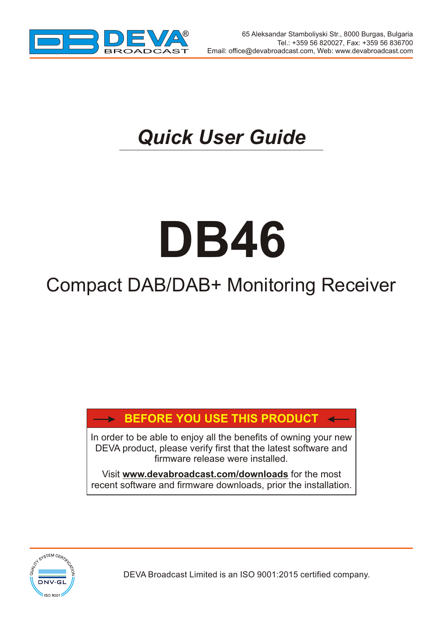

 $\overline{\phantom{a}}$ 

 $\overline{\phantom{a}}$ 

## *Quick User Guide*

# **DB46**

### Compact DAB/DAB+ Monitoring Receiver

#### **BEFORE YOU USE THIS PRODUCT**

In order to be able to enjoy all the benefits of owning your new DEVA product, please verify first that the latest software and firmware release were installed.

Visit **www.devabroadcast.com/downloads** for the most recent software and firmware downloads, prior the installation.



DEVA Broadcast Limited is an ISO 9001:2015 certified company.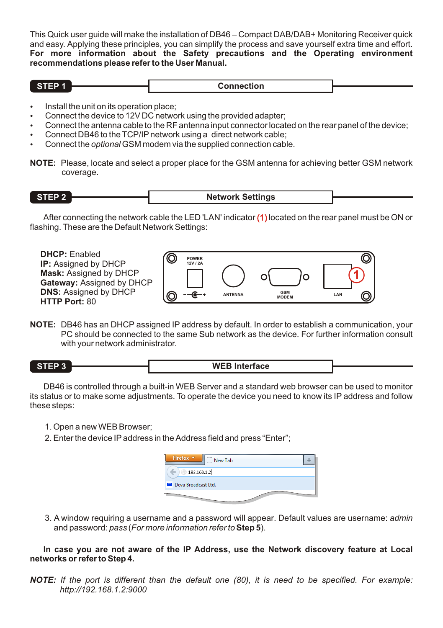This Quick user guide will make the installation of DB46 – Compact DAB/DAB+ Monitoring Receiver quick and easy. Applying these principles, you can simplify the process and save yourself extra time and effort. **For more information about the Safety precautions and the Operating environment recommendations please refer to the User Manual.**

| w<br>--- | ----<br>------<br>ection |  |
|----------|--------------------------|--|
|          | .                        |  |

- 
- Install the unit on its operation place;<br>• Connect the device to 12V DC network using the provided adapter:
- Connect the antenna cable to the RF antenna input connector located on the rear panel of the device;
- Connect DB46 to the TCP/IP network using a direct network cable;
- Connect DB46 to the TCP/IP network using a direct network cable;<br>• Connect the <u>op*tional*</u> GSM modem via the supplied connection cable.
- **NOTE:** Please, locate and select a proper place for the GSM antenna for achieving better GSM network coverage.

**STEP 2 Network Settings**

After connecting the network cable the LED 'LAN' indicator  $(1)$  located on the rear panel must be ON or flashing. These are the Default Network Settings:



**NOTE:** DB46 has an DHCP assigned IP address by default. In order to establish a communication, your PC should be connected to the same Sub network as the device. For further information consult with your network administrator.



DB46 is controlled through a built-in WEB Server and a standard web browser can be used to monitor its status or to make some adjustments. To operate the device you need to know its IP address and follow these steps:

- 1. Open a new WEB Browser;
- 2.Enter the device IPaddress in the Address field and press "Enter";

| Firefox <b>v</b><br>New Tab |  |
|-----------------------------|--|
| 192.168.1.2                 |  |
| Deva Broadcast Ltd.         |  |
|                             |  |

3. A window requiring a username and a password will appear. Default values are username: *admin*  and password: *pass* (*For more information refer to***Step 5**).

**In case you are not aware of the IP Address, use the Network discovery feature at Local networks or refer to Step 4.**

*NOTE: If the port is different than the default one (80), it is need to be specified. For example: http://192.168.1.2:9000*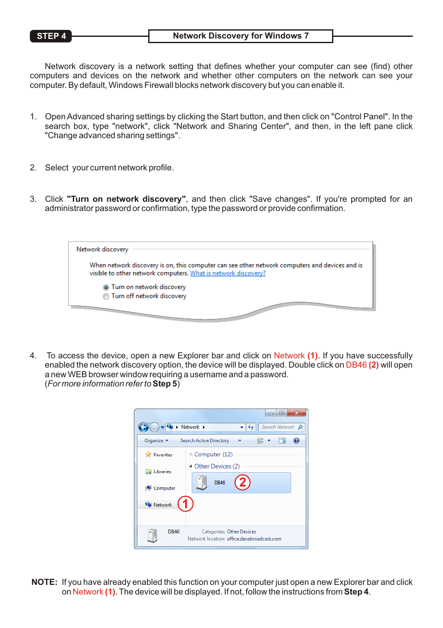Network discovery is a network setting that defines whether your computer can see (find) other computers and devices on the network and whether other computers on the network can see your computer. By default, Windows Firewall blocks network discovery but you can enable it.

- 1. Open Advanced sharing settings by clicking the Start button, and then click on "Control Panel". In the search box, type "network", click "Network and Sharing Center", and then, in the left pane click "Change advanced sharing settings".
- 2. Select your current network profile.
- 3. Click **"Turn on network discovery"**, and then click "Save changes". If you're prompted for an administrator password or confirmation, type the password or provide confirmation.



4. To access the device, open a new Explorer bar and click on Network (1). If you have successfully enabled the network discovery option, the device will be displayed. Double click on DB46 **(2)** will open a new WEB browser window requiring a username and a password. (*For more information refer to***Step 5**)



**NOTE:** If you have already enabled this function on your computer just open a new Explorer bar and click on Network **(1)**. The device will be displayed. If not, follow the instructions from **Step 4**.